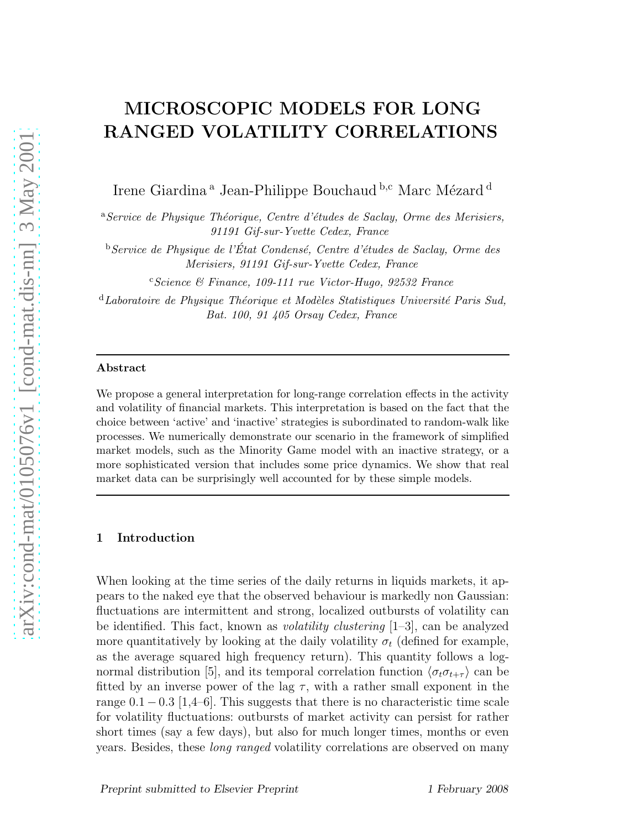# MICROSCOPIC MODELS FOR LONG RANGED VOLATILITY CORRELATIONS

Irene Giardina<sup>a</sup> Jean-Philippe Bouchaud <sup>b,c</sup> Marc Mézard <sup>d</sup>

<sup>a</sup>Service de Physique Théorique, Centre d'études de Saclay, Orme des Merisiers, 91191 Gif-sur-Yvette Cedex, France

 $b$ Service de Physique de l'État Condensé, Centre d'études de Saclay, Orme des Merisiers, 91191 Gif-sur-Yvette Cedex, France

 $c$ Science & Finance, 109-111 rue Victor-Hugo, 92532 France

 $d$ Laboratoire de Physique Théorique et Modèles Statistiques Université Paris Sud, Bat. 100, 91 405 Orsay Cedex, France

#### Abstract

We propose a general interpretation for long-range correlation effects in the activity and volatility of financial markets. This interpretation is based on the fact that the choice between 'active' and 'inactive' strategies is subordinated to random-walk like processes. We numerically demonstrate our scenario in the framework of simplified market models, such as the Minority Game model with an inactive strategy, or a more sophisticated version that includes some price dynamics. We show that real market data can be surprisingly well accounted for by these simple models.

## 1 Introduction

When looking at the time series of the daily returns in liquids markets, it appears to the naked eye that the observed behaviour is markedly non Gaussian: fluctuations are intermittent and strong, localized outbursts of volatility can be identified. This fact, known as volatility clustering [1–3], can be analyzed more quantitatively by looking at the daily volatility  $\sigma_t$  (defined for example, as the average squared high frequency return). This quantity follows a lognormal distribution [5], and its temporal correlation function  $\langle \sigma_t \sigma_{t+\tau} \rangle$  can be fitted by an inverse power of the lag  $\tau$ , with a rather small exponent in the range  $0.1 - 0.3$  [1,4–6]. This suggests that there is no characteristic time scale for volatility fluctuations: outbursts of market activity can persist for rather short times (say a few days), but also for much longer times, months or even years. Besides, these long ranged volatility correlations are observed on many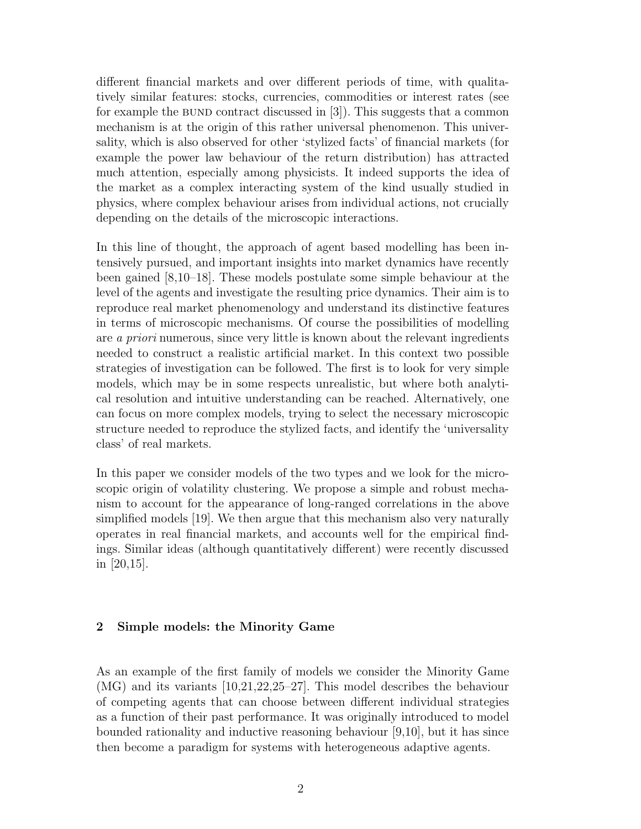different financial markets and over different periods of time, with qualitatively similar features: stocks, currencies, commodities or interest rates (see for example the BUND contract discussed in  $[3]$ . This suggests that a common mechanism is at the origin of this rather universal phenomenon. This universality, which is also observed for other 'stylized facts' of financial markets (for example the power law behaviour of the return distribution) has attracted much attention, especially among physicists. It indeed supports the idea of the market as a complex interacting system of the kind usually studied in physics, where complex behaviour arises from individual actions, not crucially depending on the details of the microscopic interactions.

In this line of thought, the approach of agent based modelling has been intensively pursued, and important insights into market dynamics have recently been gained [8,10–18]. These models postulate some simple behaviour at the level of the agents and investigate the resulting price dynamics. Their aim is to reproduce real market phenomenology and understand its distinctive features in terms of microscopic mechanisms. Of course the possibilities of modelling are a priori numerous, since very little is known about the relevant ingredients needed to construct a realistic artificial market. In this context two possible strategies of investigation can be followed. The first is to look for very simple models, which may be in some respects unrealistic, but where both analytical resolution and intuitive understanding can be reached. Alternatively, one can focus on more complex models, trying to select the necessary microscopic structure needed to reproduce the stylized facts, and identify the 'universality class' of real markets.

In this paper we consider models of the two types and we look for the microscopic origin of volatility clustering. We propose a simple and robust mechanism to account for the appearance of long-ranged correlations in the above simplified models [19]. We then argue that this mechanism also very naturally operates in real financial markets, and accounts well for the empirical findings. Similar ideas (although quantitatively different) were recently discussed in [20,15].

## 2 Simple models: the Minority Game

As an example of the first family of models we consider the Minority Game (MG) and its variants [10,21,22,25–27]. This model describes the behaviour of competing agents that can choose between different individual strategies as a function of their past performance. It was originally introduced to model bounded rationality and inductive reasoning behaviour [9,10], but it has since then become a paradigm for systems with heterogeneous adaptive agents.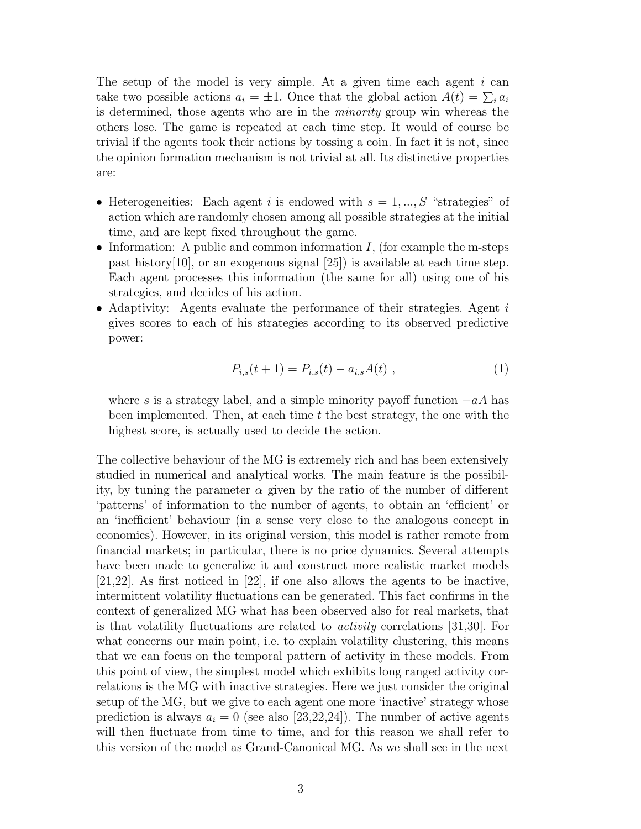The setup of the model is very simple. At a given time each agent  $i$  can take two possible actions  $a_i = \pm 1$ . Once that the global action  $A(t) = \sum_i a_i$ is determined, those agents who are in the minority group win whereas the others lose. The game is repeated at each time step. It would of course be trivial if the agents took their actions by tossing a coin. In fact it is not, since the opinion formation mechanism is not trivial at all. Its distinctive properties are:

- Heterogeneities: Each agent i is endowed with  $s = 1, ..., S$  "strategies" of action which are randomly chosen among all possible strategies at the initial time, and are kept fixed throughout the game.
- Information: A public and common information  $I$ , (for example the m-steps past history[10], or an exogenous signal [25]) is available at each time step. Each agent processes this information (the same for all) using one of his strategies, and decides of his action.
- Adaptivity: Agents evaluate the performance of their strategies. Agent  $i$ gives scores to each of his strategies according to its observed predictive power:

$$
P_{i,s}(t+1) = P_{i,s}(t) - a_{i,s}A(t) , \qquad (1)
$$

where s is a strategy label, and a simple minority payoff function  $-aA$  has been implemented. Then, at each time  $t$  the best strategy, the one with the highest score, is actually used to decide the action.

The collective behaviour of the MG is extremely rich and has been extensively studied in numerical and analytical works. The main feature is the possibility, by tuning the parameter  $\alpha$  given by the ratio of the number of different 'patterns' of information to the number of agents, to obtain an 'efficient' or an 'inefficient' behaviour (in a sense very close to the analogous concept in economics). However, in its original version, this model is rather remote from financial markets; in particular, there is no price dynamics. Several attempts have been made to generalize it and construct more realistic market models [21,22]. As first noticed in [22], if one also allows the agents to be inactive, intermittent volatility fluctuations can be generated. This fact confirms in the context of generalized MG what has been observed also for real markets, that is that volatility fluctuations are related to activity correlations [31,30]. For what concerns our main point, i.e. to explain volatility clustering, this means that we can focus on the temporal pattern of activity in these models. From this point of view, the simplest model which exhibits long ranged activity correlations is the MG with inactive strategies. Here we just consider the original setup of the MG, but we give to each agent one more 'inactive' strategy whose prediction is always  $a_i = 0$  (see also [23,22,24]). The number of active agents will then fluctuate from time to time, and for this reason we shall refer to this version of the model as Grand-Canonical MG. As we shall see in the next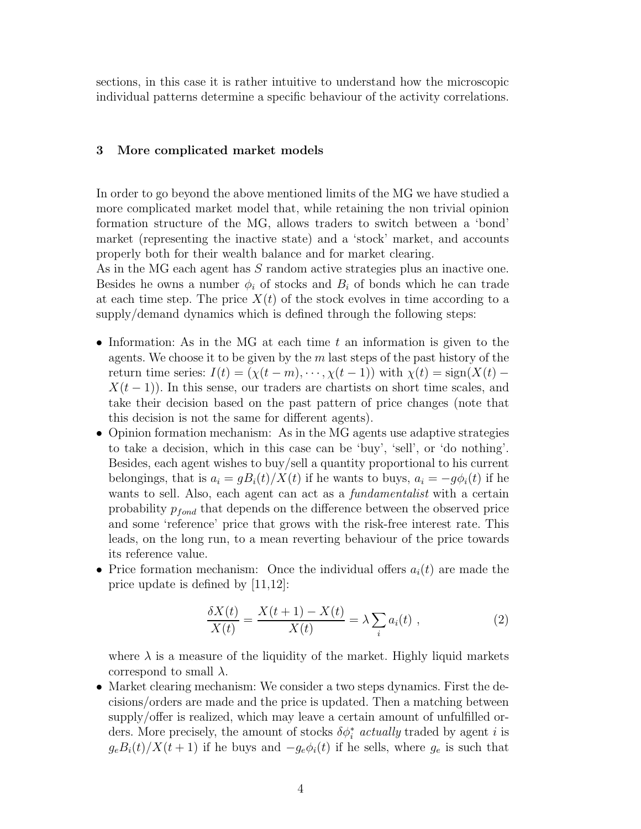sections, in this case it is rather intuitive to understand how the microscopic individual patterns determine a specific behaviour of the activity correlations.

## 3 More complicated market models

In order to go beyond the above mentioned limits of the MG we have studied a more complicated market model that, while retaining the non trivial opinion formation structure of the MG, allows traders to switch between a 'bond' market (representing the inactive state) and a 'stock' market, and accounts properly both for their wealth balance and for market clearing.

As in the MG each agent has S random active strategies plus an inactive one. Besides he owns a number  $\phi_i$  of stocks and  $B_i$  of bonds which he can trade at each time step. The price  $X(t)$  of the stock evolves in time according to a supply/demand dynamics which is defined through the following steps:

- Information: As in the MG at each time  $t$  an information is given to the agents. We choose it to be given by the  $m$  last steps of the past history of the return time series:  $I(t) = (\chi(t-m), \dots, \chi(t-1))$  with  $\chi(t) = \text{sign}(X(t) X(t-1)$ ). In this sense, our traders are chartists on short time scales, and take their decision based on the past pattern of price changes (note that this decision is not the same for different agents).
- Opinion formation mechanism: As in the MG agents use adaptive strategies to take a decision, which in this case can be 'buy', 'sell', or 'do nothing'. Besides, each agent wishes to buy/sell a quantity proportional to his current belongings, that is  $a_i = gB_i(t)/X(t)$  if he wants to buys,  $a_i = -g\phi_i(t)$  if he wants to sell. Also, each agent can act as a *fundamentalist* with a certain probability  $p_{fond}$  that depends on the difference between the observed price and some 'reference' price that grows with the risk-free interest rate. This leads, on the long run, to a mean reverting behaviour of the price towards its reference value.
- Price formation mechanism: Once the individual offers  $a_i(t)$  are made the price update is defined by [11,12]:

$$
\frac{\delta X(t)}{X(t)} = \frac{X(t+1) - X(t)}{X(t)} = \lambda \sum_{i} a_i(t) , \qquad (2)
$$

where  $\lambda$  is a measure of the liquidity of the market. Highly liquid markets correspond to small  $\lambda$ .

• Market clearing mechanism: We consider a two steps dynamics. First the decisions/orders are made and the price is updated. Then a matching between supply/offer is realized, which may leave a certain amount of unfulfilled orders. More precisely, the amount of stocks  $\delta \phi_i^*$  actually traded by agent i is  $g_eB_i(t)/X(t+1)$  if he buys and  $-g_e\phi_i(t)$  if he sells, where  $g_e$  is such that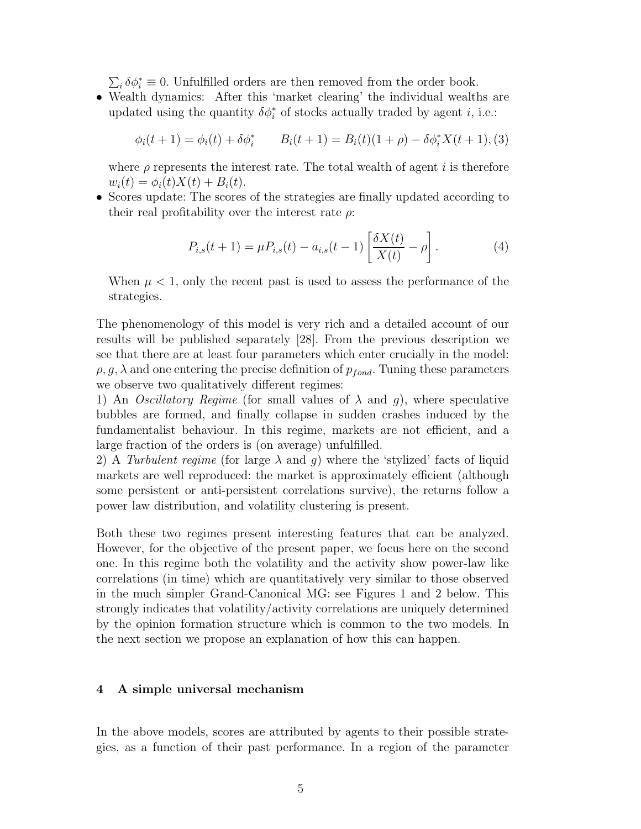$\sum_i \delta \phi_i^* \equiv 0$ . Unfulfilled orders are then removed from the order book.

• Wealth dynamics: After this 'market clearing' the individual wealths are updated using the quantity  $\delta \phi_i^*$  of stocks actually traded by agent *i*, i.e.:

$$
\phi_i(t+1) = \phi_i(t) + \delta \phi_i^* \qquad B_i(t+1) = B_i(t)(1+\rho) - \delta \phi_i^* X(t+1),
$$

where  $\rho$  represents the interest rate. The total wealth of agent i is therefore  $w_i(t) = \phi_i(t)X(t) + B_i(t).$ 

• Scores update: The scores of the strategies are finally updated according to their real profitability over the interest rate  $\rho$ :

$$
P_{i,s}(t+1) = \mu P_{i,s}(t) - a_{i,s}(t-1) \left[ \frac{\delta X(t)}{X(t)} - \rho \right].
$$
 (4)

When  $\mu < 1$ , only the recent past is used to assess the performance of the strategies.

The phenomenology of this model is very rich and a detailed account of our results will be published separately [28]. From the previous description we see that there are at least four parameters which enter crucially in the model:  $\rho$ , g,  $\lambda$  and one entering the precise definition of  $p_{fond}$ . Tuning these parameters we observe two qualitatively different regimes:

1) An *Oscillatory Regime* (for small values of  $\lambda$  and  $q$ ), where speculative bubbles are formed, and finally collapse in sudden crashes induced by the fundamentalist behaviour. In this regime, markets are not efficient, and a large fraction of the orders is (on average) unfulfilled.

2) A Turbulent regime (for large  $\lambda$  and q) where the 'stylized' facts of liquid markets are well reproduced: the market is approximately efficient (although some persistent or anti-persistent correlations survive), the returns follow a power law distribution, and volatility clustering is present.

Both these two regimes present interesting features that can be analyzed. However, for the objective of the present paper, we focus here on the second one. In this regime both the volatility and the activity show power-law like correlations (in time) which are quantitatively very similar to those observed in the much simpler Grand-Canonical MG: see Figures 1 and 2 below. This strongly indicates that volatility/activity correlations are uniquely determined by the opinion formation structure which is common to the two models. In the next section we propose an explanation of how this can happen.

## 4 A simple universal mechanism

In the above models, scores are attributed by agents to their possible strategies, as a function of their past performance. In a region of the parameter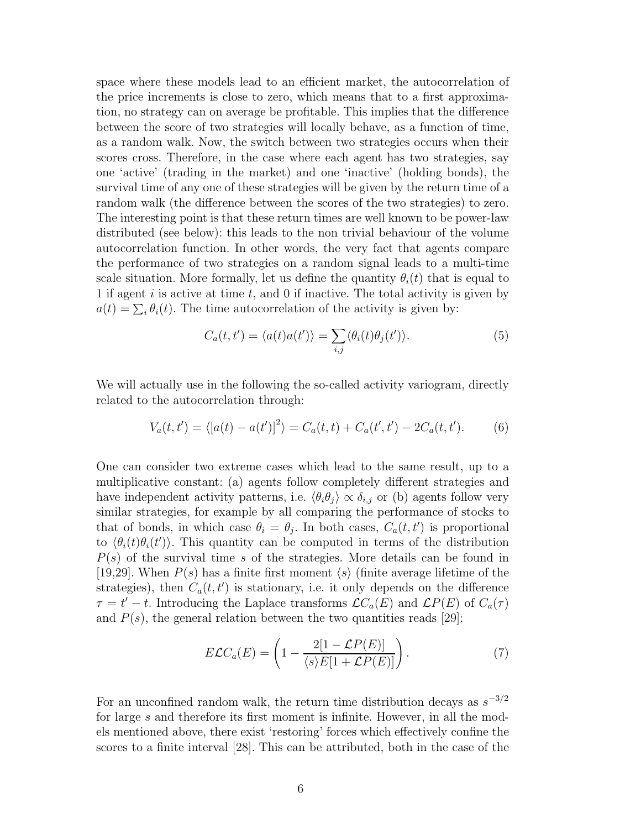space where these models lead to an efficient market, the autocorrelation of the price increments is close to zero, which means that to a first approximation, no strategy can on average be profitable. This implies that the difference between the score of two strategies will locally behave, as a function of time, as a random walk. Now, the switch between two strategies occurs when their scores cross. Therefore, in the case where each agent has two strategies, say one 'active' (trading in the market) and one 'inactive' (holding bonds), the survival time of any one of these strategies will be given by the return time of a random walk (the difference between the scores of the two strategies) to zero. The interesting point is that these return times are well known to be power-law distributed (see below): this leads to the non trivial behaviour of the volume autocorrelation function. In other words, the very fact that agents compare the performance of two strategies on a random signal leads to a multi-time scale situation. More formally, let us define the quantity  $\theta_i(t)$  that is equal to 1 if agent  $i$  is active at time  $t$ , and 0 if inactive. The total activity is given by  $a(t) = \sum_i \theta_i(t)$ . The time autocorrelation of the activity is given by:

$$
C_a(t, t') = \langle a(t)a(t') \rangle = \sum_{i,j} \langle \theta_i(t)\theta_j(t') \rangle.
$$
 (5)

We will actually use in the following the so-called activity variogram, directly related to the autocorrelation through:

$$
V_a(t, t') = \langle [a(t) - a(t')]^2 \rangle = C_a(t, t) + C_a(t', t') - 2C_a(t, t'). \tag{6}
$$

One can consider two extreme cases which lead to the same result, up to a multiplicative constant: (a) agents follow completely different strategies and have independent activity patterns, i.e.  $\langle \theta_i \theta_j \rangle \propto \delta_{i,j}$  or (b) agents follow very similar strategies, for example by all comparing the performance of stocks to that of bonds, in which case  $\theta_i = \theta_j$ . In both cases,  $C_a(t, t')$  is proportional to  $\langle \theta_i(t) \theta_i(t') \rangle$ . This quantity can be computed in terms of the distribution  $P(s)$  of the survival time s of the strategies. More details can be found in [19,29]. When  $P(s)$  has a finite first moment  $\langle s \rangle$  (finite average lifetime of the strategies), then  $C_a(t, t')$  is stationary, i.e. it only depends on the difference  $\tau = t'-t$ . Introducing the Laplace transforms  $\mathcal{L}C_a(E)$  and  $\mathcal{L}P(E)$  of  $C_a(\tau)$ and  $P(s)$ , the general relation between the two quantities reads [29]:

$$
E\mathcal{L}C_a(E) = \left(1 - \frac{2[1 - \mathcal{L}P(E)]}{\langle s \rangle E[1 + \mathcal{L}P(E)]}\right). \tag{7}
$$

For an unconfined random walk, the return time distribution decays as  $s^{-3/2}$ for large s and therefore its first moment is infinite. However, in all the models mentioned above, there exist 'restoring' forces which effectively confine the scores to a finite interval [28]. This can be attributed, both in the case of the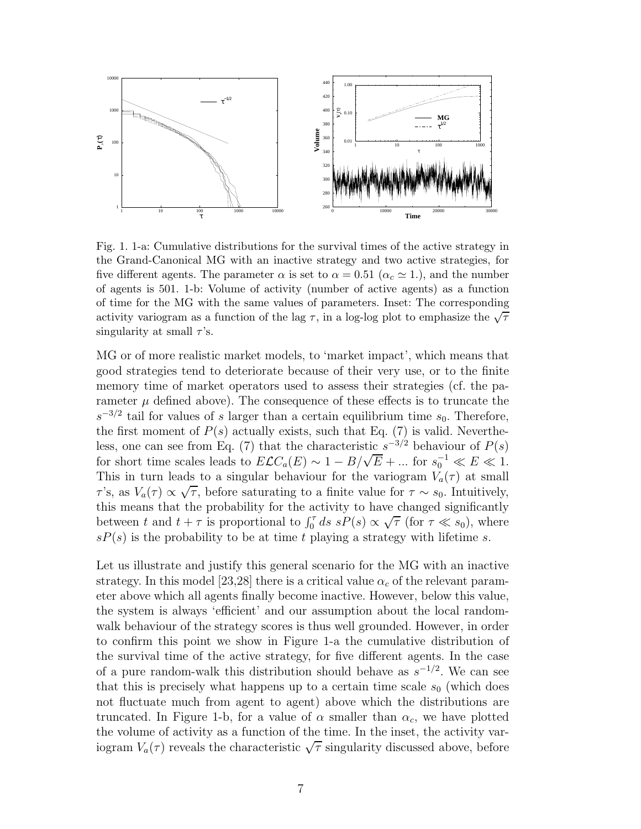

Fig. 1. 1-a: Cumulative distributions for the survival times of the active strategy in the Grand-Canonical MG with an inactive strategy and two active strategies, for five different agents. The parameter  $\alpha$  is set to  $\alpha = 0.51$  ( $\alpha_c \simeq 1$ .), and the number of agents is 501. 1-b: Volume of activity (number of active agents) as a function of time for the MG with the same values of parameters. Inset: The corresponding activity variogram as a function of the lag  $\tau$ , in a log-log plot to emphasize the  $\sqrt{\tau}$ singularity at small  $\tau$ 's.

MG or of more realistic market models, to 'market impact', which means that good strategies tend to deteriorate because of their very use, or to the finite memory time of market operators used to assess their strategies (cf. the parameter  $\mu$  defined above). The consequence of these effects is to truncate the  $s^{-3/2}$  tail for values of s larger than a certain equilibrium time  $s_0$ . Therefore, the first moment of  $P(s)$  actually exists, such that Eq. (7) is valid. Nevertheless, one can see from Eq. (7) that the characteristic  $s^{-3/2}$  behaviour of  $P(s)$ for short time scales leads to  $E\mathcal{L}C_a(E) \sim 1 - B/\sqrt{E} + ...$  for  $s_0^{-1} \ll E \ll 1$ . This in turn leads to a singular behaviour for the variogram  $V_a(\tau)$  at small  $τ's,$  as  $V_a(τ) \propto \sqrt{τ}$ , before saturating to a finite value for  $τ \sim s_0$ . Intuitively, this means that the probability for the activity to have changed significantly between t and  $t + \tau$  is proportional to  $\int_0^{\tau} ds \, sP(s) \propto \sqrt{\tau}$  (for  $\tau \ll s_0$ ), where  $sP(s)$  is the probability to be at time t playing a strategy with lifetime s.

Let us illustrate and justify this general scenario for the MG with an inactive strategy. In this model [23,28] there is a critical value  $\alpha_c$  of the relevant parameter above which all agents finally become inactive. However, below this value, the system is always 'efficient' and our assumption about the local randomwalk behaviour of the strategy scores is thus well grounded. However, in order to confirm this point we show in Figure 1-a the cumulative distribution of the survival time of the active strategy, for five different agents. In the case of a pure random-walk this distribution should behave as  $s^{-1/2}$ . We can see that this is precisely what happens up to a certain time scale  $s_0$  (which does not fluctuate much from agent to agent) above which the distributions are truncated. In Figure 1-b, for a value of  $\alpha$  smaller than  $\alpha_c$ , we have plotted the volume of activity as a function of the time. In the inset, the activity variogram  $V_a(\tau)$  reveals the characteristic  $\sqrt{\tau}$  singularity discussed above, before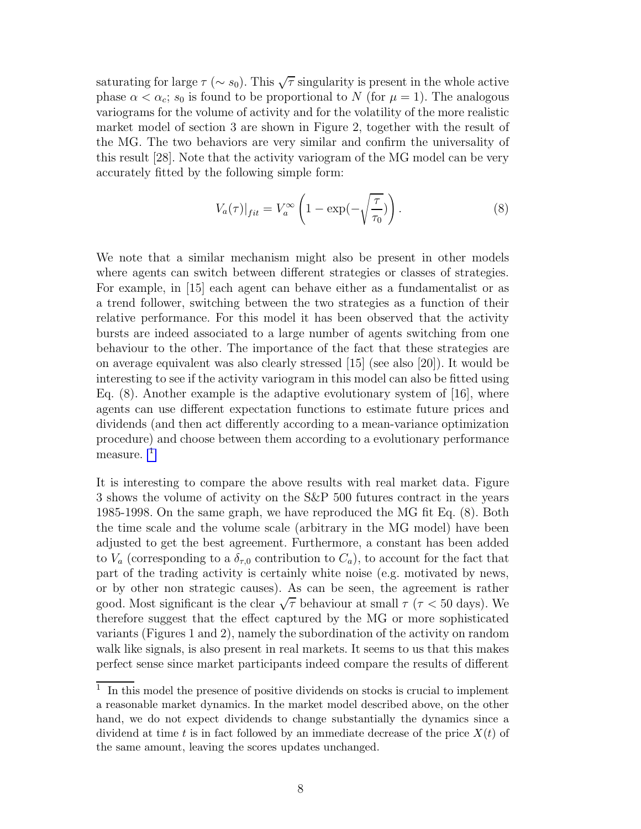saturating for large  $\tau (\sim s_0)$ . This  $\sqrt{\tau}$  singularity is present in the whole active phase  $\alpha < \alpha_c$ ;  $s_0$  is found to be proportional to N (for  $\mu = 1$ ). The analogous variograms for the volume of activity and for the volatility of the more realistic market model of section 3 are shown in Figure 2, together with the result of the MG. The two behaviors are very similar and confirm the universality of this result [28]. Note that the activity variogram of the MG model can be very accurately fitted by the following simple form:

$$
V_a(\tau)|_{fit} = V_a^{\infty} \left( 1 - \exp(-\sqrt{\frac{\tau}{\tau_0}}) \right). \tag{8}
$$

We note that a similar mechanism might also be present in other models where agents can switch between different strategies or classes of strategies. For example, in [15] each agent can behave either as a fundamentalist or as a trend follower, switching between the two strategies as a function of their relative performance. For this model it has been observed that the activity bursts are indeed associated to a large number of agents switching from one behaviour to the other. The importance of the fact that these strategies are on average equivalent was also clearly stressed [15] (see also [20]). It would be interesting to see if the activity variogram in this model can also be fitted using Eq.  $(8)$ . Another example is the adaptive evolutionary system of [16], where agents can use different expectation functions to estimate future prices and dividends (and then act differently according to a mean-variance optimization procedure) and choose between them according to a evolutionary performance measure.<sup>1</sup>

It is interesting to compare the above results with real market data. Figure 3 shows the volume of activity on the S&P 500 futures contract in the years 1985-1998. On the same graph, we have reproduced the MG fit Eq. (8). Both the time scale and the volume scale (arbitrary in the MG model) have been adjusted to get the best agreement. Furthermore, a constant has been added to  $V_a$  (corresponding to a  $\delta_{\tau,0}$  contribution to  $C_a$ ), to account for the fact that part of the trading activity is certainly white noise (e.g. motivated by news, or by other non strategic causes). As can be seen, the agreement is rather good. Most significant is the clear  $\sqrt{\tau}$  behaviour at small  $\tau$  ( $\tau$  < 50 days). We therefore suggest that the effect captured by the MG or more sophisticated variants (Figures 1 and 2), namely the subordination of the activity on random walk like signals, is also present in real markets. It seems to us that this makes perfect sense since market participants indeed compare the results of different

<sup>1</sup> In this model the presence of positive dividends on stocks is crucial to implement a reasonable market dynamics. In the market model described above, on the other hand, we do not expect dividends to change substantially the dynamics since a dividend at time t is in fact followed by an immediate decrease of the price  $X(t)$  of the same amount, leaving the scores updates unchanged.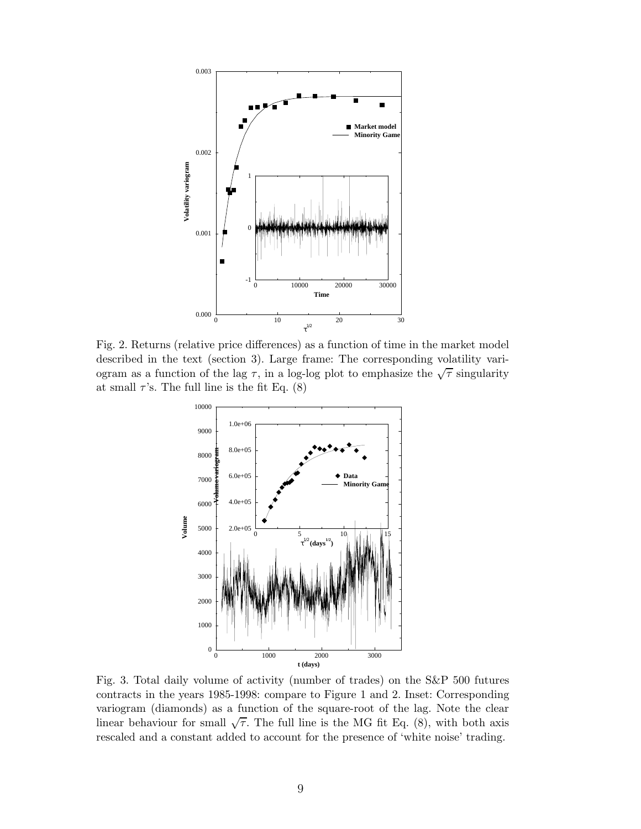

Fig. 2. Returns (relative price differences) as a function of time in the market model described in the text (section 3). Large frame: The corresponding volatility variogram as a function of the lag  $\tau$ , in a log-log plot to emphasize the  $\sqrt{\tau}$  singularity at small  $\tau$ 's. The full line is the fit Eq. (8)



Fig. 3. Total daily volume of activity (number of trades) on the S&P 500 futures contracts in the years 1985-1998: compare to Figure 1 and 2. Inset: Corresponding variogram (diamonds) as a function of the square-root of the lag. Note the clear linear behaviour for small  $\sqrt{\tau}$ . The full line is the MG fit Eq. (8), with both axis rescaled and a constant added to account for the presence of 'white noise' trading.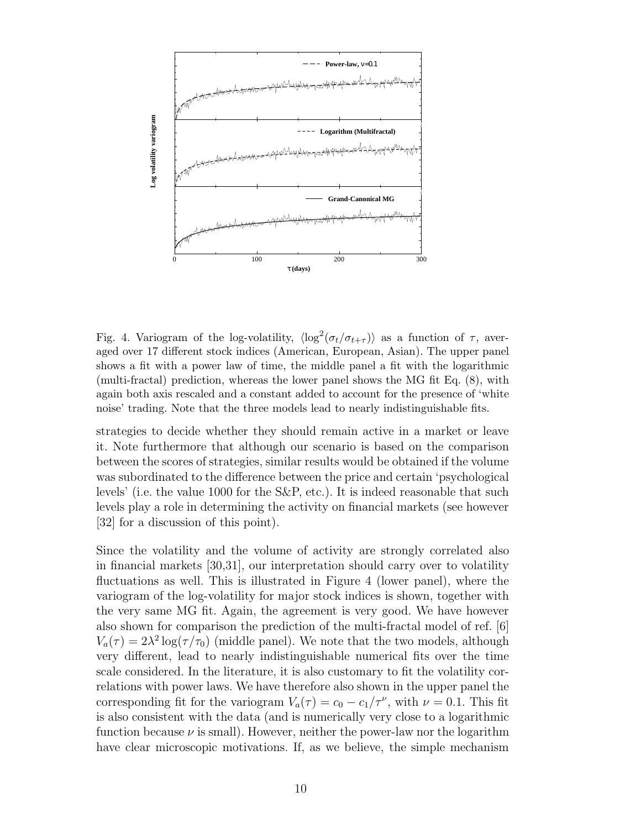

Fig. 4. Variogram of the log-volatility,  $\langle \log^2(\sigma_t/\sigma_{t+\tau}) \rangle$  as a function of  $\tau$ , averaged over 17 different stock indices (American, European, Asian). The upper panel shows a fit with a power law of time, the middle panel a fit with the logarithmic (multi-fractal) prediction, whereas the lower panel shows the MG fit Eq. (8), with again both axis rescaled and a constant added to account for the presence of 'white noise' trading. Note that the three models lead to nearly indistinguishable fits.

strategies to decide whether they should remain active in a market or leave it. Note furthermore that although our scenario is based on the comparison between the scores of strategies, similar results would be obtained if the volume was subordinated to the difference between the price and certain 'psychological levels' (i.e. the value 1000 for the S&P, etc.). It is indeed reasonable that such levels play a role in determining the activity on financial markets (see however [32] for a discussion of this point).

Since the volatility and the volume of activity are strongly correlated also in financial markets [30,31], our interpretation should carry over to volatility fluctuations as well. This is illustrated in Figure 4 (lower panel), where the variogram of the log-volatility for major stock indices is shown, together with the very same MG fit. Again, the agreement is very good. We have however also shown for comparison the prediction of the multi-fractal model of ref. [6]  $V_a(\tau) = 2\lambda^2 \log(\tau/\tau_0)$  (middle panel). We note that the two models, although very different, lead to nearly indistinguishable numerical fits over the time scale considered. In the literature, it is also customary to fit the volatility correlations with power laws. We have therefore also shown in the upper panel the corresponding fit for the variogram  $V_a(\tau) = c_0 - c_1/\tau^{\nu}$ , with  $\nu = 0.1$ . This fit is also consistent with the data (and is numerically very close to a logarithmic function because  $\nu$  is small). However, neither the power-law nor the logarithm have clear microscopic motivations. If, as we believe, the simple mechanism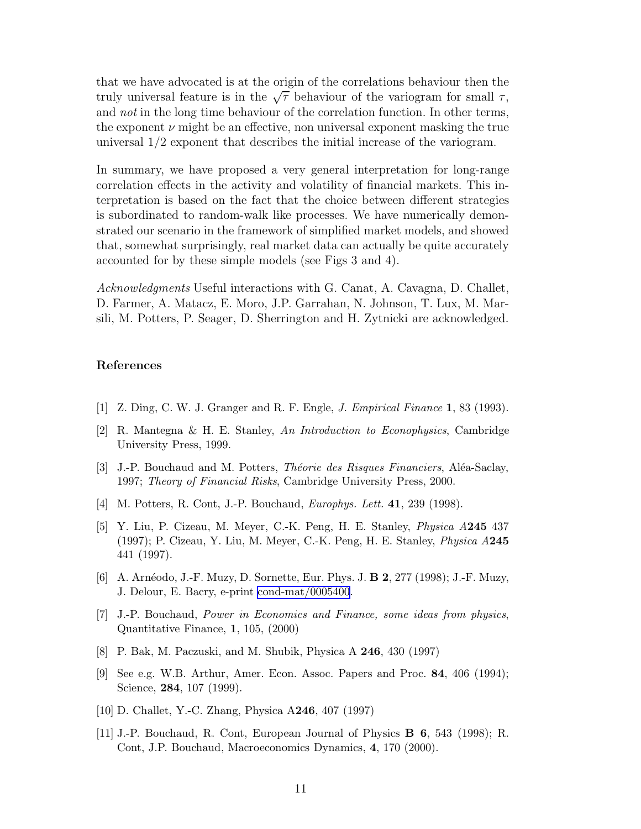that we have advocated is at the origin of the correlations behaviour then the truly universal feature is in the  $\sqrt{\tau}$  behaviour of the variogram for small  $\tau$ , and not in the long time behaviour of the correlation function. In other terms, the exponent  $\nu$  might be an effective, non universal exponent masking the true universal 1/2 exponent that describes the initial increase of the variogram.

In summary, we have proposed a very general interpretation for long-range correlation effects in the activity and volatility of financial markets. This interpretation is based on the fact that the choice between different strategies is subordinated to random-walk like processes. We have numerically demonstrated our scenario in the framework of simplified market models, and showed that, somewhat surprisingly, real market data can actually be quite accurately accounted for by these simple models (see Figs 3 and 4).

Acknowledgments Useful interactions with G. Canat, A. Cavagna, D. Challet, D. Farmer, A. Matacz, E. Moro, J.P. Garrahan, N. Johnson, T. Lux, M. Marsili, M. Potters, P. Seager, D. Sherrington and H. Zytnicki are acknowledged.

## References

- [1] Z. Ding, C. W. J. Granger and R. F. Engle, J. Empirical Finance 1, 83 (1993).
- [2] R. Mantegna & H. E. Stanley, An Introduction to Econophysics, Cambridge University Press, 1999.
- [3] J.-P. Bouchaud and M. Potters, *Théorie des Risques Financiers*, Aléa-Saclay, 1997; Theory of Financial Risks, Cambridge University Press, 2000.
- [4] M. Potters, R. Cont, J.-P. Bouchaud, Europhys. Lett. 41, 239 (1998).
- [5] Y. Liu, P. Cizeau, M. Meyer, C.-K. Peng, H. E. Stanley, Physica A245 437 (1997); P. Cizeau, Y. Liu, M. Meyer, C.-K. Peng, H. E. Stanley, Physica A245 441 (1997).
- [6] A. Arnéodo, J.-F. Muzy, D. Sornette, Eur. Phys. J. **B 2**, 277 (1998); J.-F. Muzy, J. Delour, E. Bacry, e-print [cond-mat/0005400](http://arXiv.org/abs/cond-mat/0005400).
- [7] J.-P. Bouchaud, Power in Economics and Finance, some ideas from physics, Quantitative Finance, 1, 105, (2000)
- [8] P. Bak, M. Paczuski, and M. Shubik, Physica A 246, 430 (1997)
- [9] See e.g. W.B. Arthur, Amer. Econ. Assoc. Papers and Proc. 84, 406 (1994); Science, **284**, 107 (1999).
- [10] D. Challet, Y.-C. Zhang, Physica A246, 407 (1997)
- [11] J.-P. Bouchaud, R. Cont, European Journal of Physics B 6, 543 (1998); R. Cont, J.P. Bouchaud, Macroeconomics Dynamics, 4, 170 (2000).